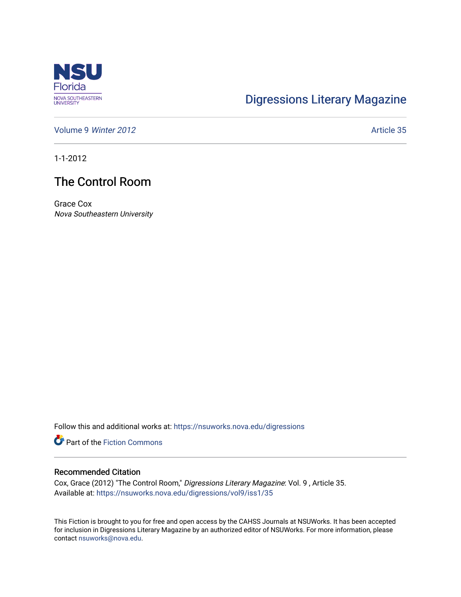

# [Digressions Literary Magazine](https://nsuworks.nova.edu/digressions)

[Volume 9](https://nsuworks.nova.edu/digressions/vol9) Winter 2012 **Article 35** Article 35

1-1-2012

## The Control Room

Grace Cox Nova Southeastern University

Follow this and additional works at: [https://nsuworks.nova.edu/digressions](https://nsuworks.nova.edu/digressions?utm_source=nsuworks.nova.edu%2Fdigressions%2Fvol9%2Fiss1%2F35&utm_medium=PDF&utm_campaign=PDFCoverPages) 

Part of the [Fiction Commons](http://network.bepress.com/hgg/discipline/1151?utm_source=nsuworks.nova.edu%2Fdigressions%2Fvol9%2Fiss1%2F35&utm_medium=PDF&utm_campaign=PDFCoverPages) 

#### Recommended Citation

Cox, Grace (2012) "The Control Room," Digressions Literary Magazine: Vol. 9 , Article 35. Available at: [https://nsuworks.nova.edu/digressions/vol9/iss1/35](https://nsuworks.nova.edu/digressions/vol9/iss1/35?utm_source=nsuworks.nova.edu%2Fdigressions%2Fvol9%2Fiss1%2F35&utm_medium=PDF&utm_campaign=PDFCoverPages) 

This Fiction is brought to you for free and open access by the CAHSS Journals at NSUWorks. It has been accepted for inclusion in Digressions Literary Magazine by an authorized editor of NSUWorks. For more information, please contact [nsuworks@nova.edu.](mailto:nsuworks@nova.edu)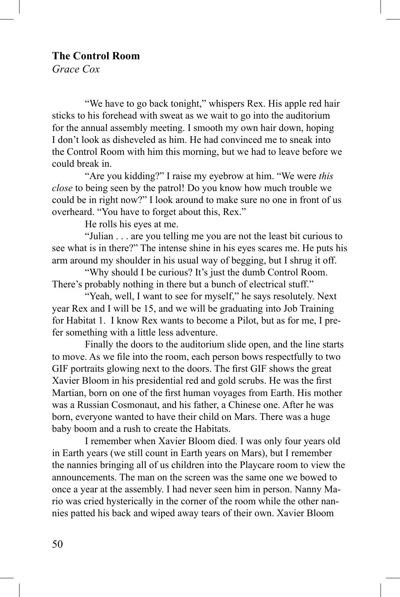## **The Control Room**

*Grace Cox*

"We have to go back tonight," whispers Rex. His apple red hair sticks to his forehead with sweat as we wait to go into the auditorium for the annual assembly meeting. I smooth my own hair down, hoping I don't look as disheveled as him. He had convinced me to sneak into the Control Room with him this morning, but we had to leave before we could break in.

"Are you kidding?" I raise my eyebrow at him. "We were *this close* to being seen by the patrol! Do you know how much trouble we could be in right now?" I look around to make sure no one in front of us overheard. "You have to forget about this, Rex."

He rolls his eyes at me.

"Julian . . . are you telling me you are not the least bit curious to see what is in there?" The intense shine in his eyes scares me. He puts his arm around my shoulder in his usual way of begging, but I shrug it off.

"Why should I be curious? It's just the dumb Control Room. There's probably nothing in there but a bunch of electrical stuff."

"Yeah, well, I want to see for myself," he says resolutely. Next year Rex and I will be 15, and we will be graduating into Job Training for Habitat 1. I know Rex wants to become a Pilot, but as for me, I prefer something with a little less adventure.

Finally the doors to the auditorium slide open, and the line starts to move. As we file into the room, each person bows respectfully to two GIF portraits glowing next to the doors. The first GIF shows the great Xavier Bloom in his presidential red and gold scrubs. He was the first Martian, born on one of the first human voyages from Earth. His mother was a Russian Cosmonaut, and his father, a Chinese one. After he was born, everyone wanted to have their child on Mars. There was a huge baby boom and a rush to create the Habitats.

I remember when Xavier Bloom died. I was only four years old in Earth years (we still count in Earth years on Mars), but I remember the nannies bringing all of us children into the Playcare room to view the announcements. The man on the screen was the same one we bowed to once a year at the assembly. I had never seen him in person. Nanny Mario was cried hysterically in the corner of the room while the other nannies patted his back and wiped away tears of their own. Xavier Bloom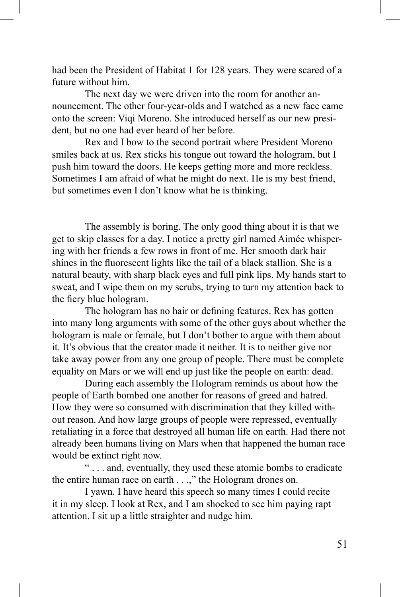had been the President of Habitat 1 for 128 years. They were scared of a future without him.

The next day we were driven into the room for another announcement. The other four-year-olds and I watched as a new face came onto the screen: Viqi Moreno. She introduced herself as our new president, but no one had ever heard of her before.

Rex and I bow to the second portrait where President Moreno smiles back at us. Rex sticks his tongue out toward the hologram, but I push him toward the doors. He keeps getting more and more reckless. Sometimes I am afraid of what he might do next. He is my best friend, but sometimes even I don't know what he is thinking.

The assembly is boring. The only good thing about it is that we get to skip classes for a day. I notice a pretty girl named Aimée whispering with her friends a few rows in front of me. Her smooth dark hair shines in the fluorescent lights like the tail of a black stallion. She is a natural beauty, with sharp black eyes and full pink lips. My hands start to sweat, and I wipe them on my scrubs, trying to turn my attention back to the fiery blue hologram.

The hologram has no hair or defining features. Rex has gotten into many long arguments with some of the other guys about whether the hologram is male or female, but I don't bother to argue with them about it. It's obvious that the creator made it neither. It is to neither give nor take away power from any one group of people. There must be complete equality on Mars or we will end up just like the people on earth: dead.

During each assembly the Hologram reminds us about how the people of Earth bombed one another for reasons of greed and hatred. How they were so consumed with discrimination that they killed without reason. And how large groups of people were repressed, eventually retaliating in a force that destroyed all human life on earth. Had there not already been humans living on Mars when that happened the human race would be extinct right now.

" . . . and, eventually, they used these atomic bombs to eradicate the entire human race on earth . . .," the Hologram drones on.

I yawn. I have heard this speech so many times I could recite it in my sleep. I look at Rex, and I am shocked to see him paying rapt attention. I sit up a little straighter and nudge him.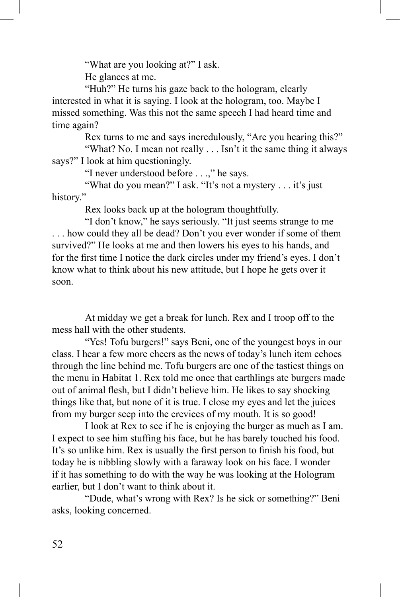"What are you looking at?" I ask.

He glances at me.

"Huh?" He turns his gaze back to the hologram, clearly interested in what it is saying. I look at the hologram, too. Maybe I missed something. Was this not the same speech I had heard time and time again?

Rex turns to me and says incredulously, "Are you hearing this?"

"What? No. I mean not really . . . Isn't it the same thing it always says?" I look at him questioningly.

"I never understood before . . .," he says.

"What do you mean?" I ask. "It's not a mystery . . . it's just history."

Rex looks back up at the hologram thoughtfully.

"I don't know," he says seriously. "It just seems strange to me . . . how could they all be dead? Don't you ever wonder if some of them survived?" He looks at me and then lowers his eyes to his hands, and for the first time I notice the dark circles under my friend's eyes. I don't know what to think about his new attitude, but I hope he gets over it soon.

At midday we get a break for lunch. Rex and I troop off to the mess hall with the other students.

"Yes! Tofu burgers!" says Beni, one of the youngest boys in our class. I hear a few more cheers as the news of today's lunch item echoes through the line behind me. Tofu burgers are one of the tastiest things on the menu in Habitat 1. Rex told me once that earthlings ate burgers made out of animal flesh, but I didn't believe him. He likes to say shocking things like that, but none of it is true. I close my eyes and let the juices from my burger seep into the crevices of my mouth. It is so good!

I look at Rex to see if he is enjoying the burger as much as I am. I expect to see him stuffing his face, but he has barely touched his food. It's so unlike him. Rex is usually the first person to finish his food, but today he is nibbling slowly with a faraway look on his face. I wonder if it has something to do with the way he was looking at the Hologram earlier, but I don't want to think about it.

"Dude, what's wrong with Rex? Is he sick or something?" Beni asks, looking concerned.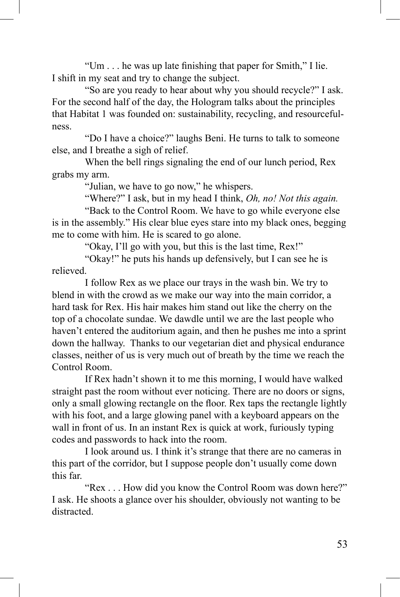"Um . . . he was up late finishing that paper for Smith," I lie. I shift in my seat and try to change the subject.

"So are you ready to hear about why you should recycle?" I ask. For the second half of the day, the Hologram talks about the principles that Habitat 1 was founded on: sustainability, recycling, and resourcefulness.

"Do I have a choice?" laughs Beni. He turns to talk to someone else, and I breathe a sigh of relief.

When the bell rings signaling the end of our lunch period, Rex grabs my arm.

"Julian, we have to go now," he whispers.

"Where?" I ask, but in my head I think, *Oh, no! Not this again.*

"Back to the Control Room. We have to go while everyone else is in the assembly." His clear blue eyes stare into my black ones, begging me to come with him. He is scared to go alone.

"Okay, I'll go with you, but this is the last time, Rex!"

"Okay!" he puts his hands up defensively, but I can see he is relieved.

I follow Rex as we place our trays in the wash bin. We try to blend in with the crowd as we make our way into the main corridor, a hard task for Rex. His hair makes him stand out like the cherry on the top of a chocolate sundae. We dawdle until we are the last people who haven't entered the auditorium again, and then he pushes me into a sprint down the hallway. Thanks to our vegetarian diet and physical endurance classes, neither of us is very much out of breath by the time we reach the Control Room.

If Rex hadn't shown it to me this morning, I would have walked straight past the room without ever noticing. There are no doors or signs, only a small glowing rectangle on the floor. Rex taps the rectangle lightly with his foot, and a large glowing panel with a keyboard appears on the wall in front of us. In an instant Rex is quick at work, furiously typing codes and passwords to hack into the room.

I look around us. I think it's strange that there are no cameras in this part of the corridor, but I suppose people don't usually come down this far.

"Rex . . . How did you know the Control Room was down here?" I ask. He shoots a glance over his shoulder, obviously not wanting to be distracted.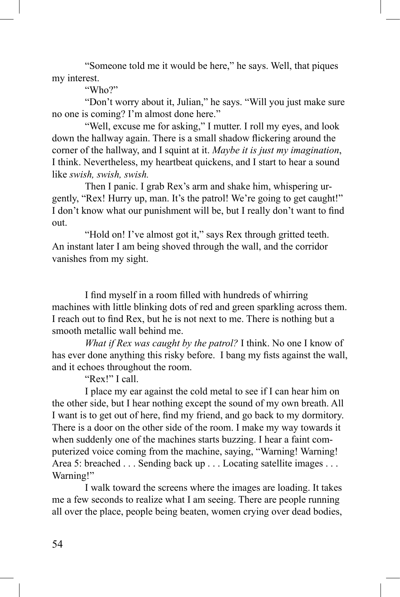"Someone told me it would be here," he says. Well, that piques my interest.

"Who?"

"Don't worry about it, Julian," he says. "Will you just make sure no one is coming? I'm almost done here."

"Well, excuse me for asking," I mutter. I roll my eyes, and look down the hallway again. There is a small shadow flickering around the corner of the hallway, and I squint at it. *Maybe it is just my imagination*, I think. Nevertheless, my heartbeat quickens, and I start to hear a sound like *swish, swish, swish.* 

Then I panic. I grab Rex's arm and shake him, whispering urgently, "Rex! Hurry up, man. It's the patrol! We're going to get caught!" I don't know what our punishment will be, but I really don't want to find out.

"Hold on! I've almost got it," says Rex through gritted teeth. An instant later I am being shoved through the wall, and the corridor vanishes from my sight.

I find myself in a room filled with hundreds of whirring machines with little blinking dots of red and green sparkling across them. I reach out to find Rex, but he is not next to me. There is nothing but a smooth metallic wall behind me.

*What if Rex was caught by the patrol?* I think. No one I know of has ever done anything this risky before. I bang my fists against the wall, and it echoes throughout the room.

"Rex!" I call.

I place my ear against the cold metal to see if I can hear him on the other side, but I hear nothing except the sound of my own breath. All I want is to get out of here, find my friend, and go back to my dormitory. There is a door on the other side of the room. I make my way towards it when suddenly one of the machines starts buzzing. I hear a faint computerized voice coming from the machine, saying, "Warning! Warning! Area 5: breached . . . Sending back up . . . Locating satellite images . . . Warning!"

I walk toward the screens where the images are loading. It takes me a few seconds to realize what I am seeing. There are people running all over the place, people being beaten, women crying over dead bodies,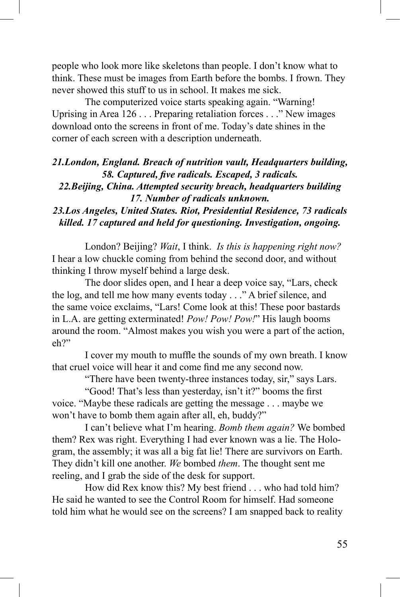people who look more like skeletons than people. I don't know what to think. These must be images from Earth before the bombs. I frown. They never showed this stuff to us in school. It makes me sick.

The computerized voice starts speaking again. "Warning! Uprising in Area 126 . . . Preparing retaliation forces . . . " New images download onto the screens in front of me. Today's date shines in the corner of each screen with a description underneath.

#### *21.London, England. Breach of nutrition vault, Headquarters building, 58. Captured, five radicals. Escaped, 3 radicals. 22.Beijing, China. Attempted security breach, headquarters building 17. Number of radicals unknown.*

## *23.Los Angeles, United States. Riot, Presidential Residence, 73 radicals killed. 17 captured and held for questioning. Investigation, ongoing.*

London? Beijing? *Wait*, I think. *Is this is happening right now?*  I hear a low chuckle coming from behind the second door, and without thinking I throw myself behind a large desk.

The door slides open, and I hear a deep voice say, "Lars, check the log, and tell me how many events today . . ." A brief silence, and the same voice exclaims, "Lars! Come look at this! These poor bastards in L.A. are getting exterminated! *Pow! Pow! Pow!*" His laugh booms around the room. "Almost makes you wish you were a part of the action, eh?"

I cover my mouth to muffle the sounds of my own breath. I know that cruel voice will hear it and come find me any second now.

"There have been twenty-three instances today, sir," says Lars.

"Good! That's less than yesterday, isn't it?" booms the first voice. "Maybe these radicals are getting the message . . . maybe we won't have to bomb them again after all, eh, buddy?"

I can't believe what I'm hearing. *Bomb them again?* We bombed them? Rex was right. Everything I had ever known was a lie. The Hologram, the assembly; it was all a big fat lie! There are survivors on Earth. They didn't kill one another. *We* bombed *them*. The thought sent me reeling, and I grab the side of the desk for support.

How did Rex know this? My best friend . . . who had told him? He said he wanted to see the Control Room for himself. Had someone told him what he would see on the screens? I am snapped back to reality